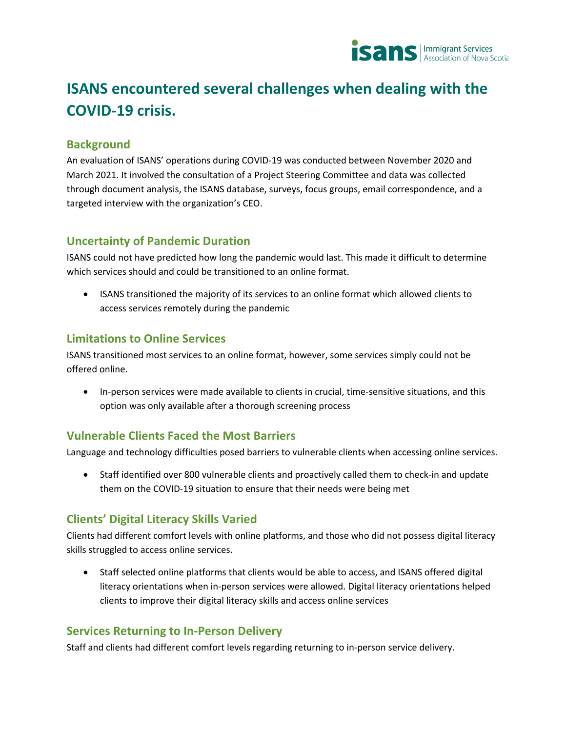

# **ISANS encountered several challenges when dealing with the COVID-19 crisis.**

# **Background**

An evaluation of ISANS' operations during COVID-19 was conducted between November 2020 and March 2021. It involved the consultation of a Project Steering Committee and data was collected through document analysis, the ISANS database, surveys, focus groups, email correspondence, and a targeted interview with the organization's CEO.

## **Uncertainty of Pandemic Duration**

ISANS could not have predicted how long the pandemic would last. This made it difficult to determine which services should and could be transitioned to an online format.

• ISANS transitioned the majority of its services to an online format which allowed clients to access services remotely during the pandemic

## **Limitations to Online Services**

ISANS transitioned most services to an online format, however, some services simply could not be offered online.

• In-person services were made available to clients in crucial, time-sensitive situations, and this option was only available after a thorough screening process

## **Vulnerable Clients Faced the Most Barriers**

Language and technology difficulties posed barriers to vulnerable clients when accessing online services.

• Staff identified over 800 vulnerable clients and proactively called them to check-in and update them on the COVID-19 situation to ensure that their needs were being met

## **Clients' Digital Literacy Skills Varied**

Clients had different comfort levels with online platforms, and those who did not possess digital literacy skills struggled to access online services.

• Staff selected online platforms that clients would be able to access, and ISANS offered digital literacy orientations when in-person services were allowed. Digital literacy orientations helped clients to improve their digital literacy skills and access online services

## **Services Returning to In-Person Delivery**

Staff and clients had different comfort levels regarding returning to in-person service delivery.